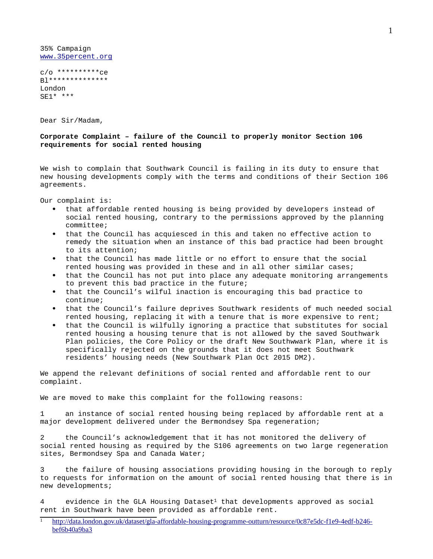35% Campaign [www.35percent.org](http://www.35percent.org/)

c/o \*\*\*\*\*\*\*\*\*\*ce B1\*\*\*\*\*\*\*\*\*\*\*\*\*\* London SE1\* \*\*\*

Dear Sir/Madam,

## **Corporate Complaint – failure of the Council to properly monitor Section 106 requirements for social rented housing**

We wish to complain that Southwark Council is failing in its duty to ensure that new housing developments comply with the terms and conditions of their Section 106 agreements.

Our complaint is:

- that affordable rented housing is being provided by developers instead of social rented housing, contrary to the permissions approved by the planning committee;
- that the Council has acquiesced in this and taken no effective action to remedy the situation when an instance of this bad practice had been brought to its attention;
- that the Council has made little or no effort to ensure that the social rented housing was provided in these and in all other similar cases;
- that the Council has not put into place any adequate monitoring arrangements to prevent this bad practice in the future;
- that the Council's wilful inaction is encouraging this bad practice to continue;
- that the Council's failure deprives Southwark residents of much needed social rented housing, replacing it with a tenure that is more expensive to rent;
- that the Council is wilfully ignoring a practice that substitutes for social rented housing a housing tenure that is not allowed by the saved Southwark Plan policies, the Core Policy or the draft New Southwwark Plan, where it is specifically rejected on the grounds that it does not meet Southwark residents' housing needs (New Southwark Plan Oct 2015 DM2).

We append the relevant definitions of social rented and affordable rent to our complaint.

We are moved to make this complaint for the following reasons:

1 an instance of social rented housing being replaced by affordable rent at a major development delivered under the Bermondsey Spa regeneration;

2 the Council's acknowledgement that it has not monitored the delivery of social rented housing as required by the S106 agreements on two large regeneration sites, Bermondsey Spa and Canada Water;

3 the failure of housing associations providing housing in the borough to reply to requests for information on the amount of social rented housing that there is in new developments;

4 evidence in the GLA Housing Dataset<sup>[1](#page-0-0)</sup> that developments approved as social rent in Southwark have been provided as affordable rent.

<span id="page-0-0"></span><sup>&</sup>lt;sup>1</sup> [http://data.london.gov.uk/dataset/gla-affordable-housing-programme-outturn/resource/0c87e5dc-f1e9-4edf-b246](http://data.london.gov.uk/dataset/gla-affordable-housing-programme-outturn/resource/0c87e5dc-f1e9-4edf-b246-bef6b40a9ba3) [bef6b40a9ba3](http://data.london.gov.uk/dataset/gla-affordable-housing-programme-outturn/resource/0c87e5dc-f1e9-4edf-b246-bef6b40a9ba3)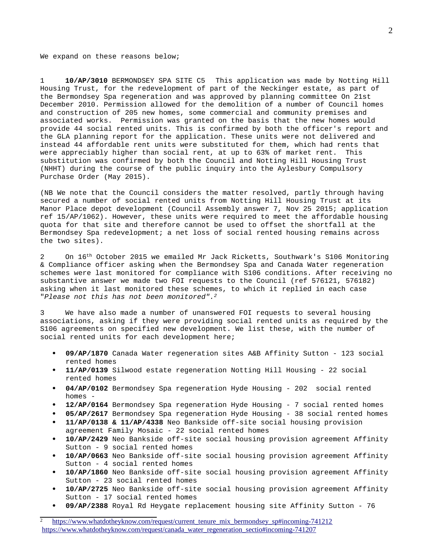We expand on these reasons below;

1 **10/AP/3010** BERMONDSEY SPA SITE C5 This application was made by Notting Hill Housing Trust, for the redevelopment of part of the Neckinger estate, as part of the Bermondsey Spa regeneration and was approved by planning committee On 21st December 2010. Permission allowed for the demolition of a number of Council homes and construction of 205 new homes, some commercial and community premises and associated works. Permission was granted on the basis that the new homes would provide 44 social rented units. This is confirmed by both the officer's report and the GLA planning report for the application. These units were not delivered and instead 44 affordable rent units were substituted for them, which had rents that were appreciably higher than social rent, at up to 63% of market rent. This substitution was confirmed by both the Council and Notting Hill Housing Trust (NHHT) during the course of the public inquiry into the Aylesbury Compulsory Purchase Order (May 2015).

(NB We note that the Council considers the matter resolved, partly through having secured a number of social rented units from Notting Hill Housing Trust at its Manor Place depot development (Council Assembly answer 7, Nov 25 2015; application ref 15/AP/1062). However, these units were required to meet the affordable housing quota for that site and therefore cannot be used to offset the shortfall at the Bermondsey Spa redevelopment; a net loss of social rented housing remains across the two sites).

2 On 16<sup>th</sup> October 2015 we emailed Mr Jack Ricketts, Southwark's S106 Monitoring & Compliance officer asking when the Bermondsey Spa and Canada Water regeneration schemes were last monitored for compliance with S106 conditions. After receiving no substantive answer we made two FOI requests to the Council (ref 576121, 576182) asking when it last monitored these schemes, to which it replied in each case "*Please not this has not been monitored".[2](#page-1-0)*

3 We have also made a number of unanswered FOI requests to several housing associations, asking if they were providing social rented units as required by the S106 agreements on specified new development. We list these, with the number of social rented units for each development here;

- **09/AP/1870** Canada Water regeneration sites A&B Affinity Sutton 123 social rented homes
- **11/AP/0139** Silwood estate regeneration Notting Hill Housing 22 social rented homes
- **04/AP/0102** Bermondsey Spa regeneration Hyde Housing 202 social rented homes -
- **12/AP/0164** Bermondsey Spa regeneration Hyde Housing 7 social rented homes
- **05/AP/2617** Bermondsey Spa regeneration Hyde Housing 38 social rented homes
- **11/AP/0138 & 11/AP/4338** Neo Bankside off-site social housing provision agreement Family Mosaic - 22 social rented homes
- **10/AP/2429** Neo Bankside off-site social housing provision agreement Affinity Sutton - 9 social rented homes
- **10/AP/0663** Neo Bankside off-site social housing provision agreement Affinity Sutton - 4 social rented homes
- **10/AP/1860** Neo Bankside off-site social housing provision agreement Affinity Sutton - 23 social rented homes
- **10/AP/2725** Neo Bankside off-site social housing provision agreement Affinity Sutton - 17 social rented homes
- **09/AP/2388** Royal Rd Heygate replacement housing site Affinity Sutton 76

<span id="page-1-0"></span>[https://www.whatdotheyknow.com/request/current\\_tenure\\_mix\\_bermondsey\\_sp#incoming-741212](https://www.whatdotheyknow.com/request/current_tenure_mix_bermondsey_sp#incoming-741212) [https://www.whatdotheyknow.com/request/canada\\_water\\_regeneration\\_sectio#incoming-741207](https://www.whatdotheyknow.com/request/canada_water_regeneration_sectio#incoming-741207)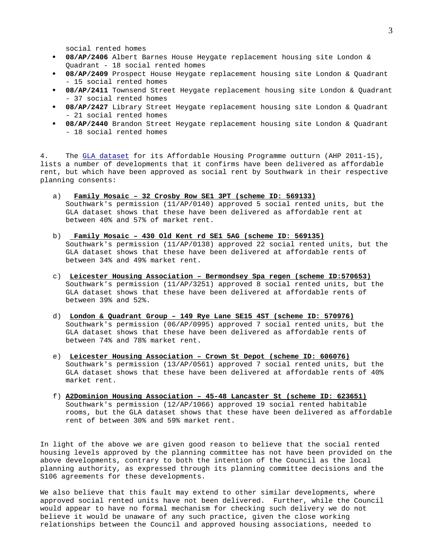social rented homes

- **08/AP/2406** Albert Barnes House Heygate replacement housing site London & Quadrant - 18 social rented homes
- **08/AP/2409** Prospect House Heygate replacement housing site London & Quadrant - 15 social rented homes
- **08/AP/2411** Townsend Street Heygate replacement housing site London & Quadrant - 37 social rented homes
- **08/AP/2427** Library Street Heygate replacement housing site London & Quadrant - 21 social rented homes
- **08/AP/2440** Brandon Street Heygate replacement housing site London & Quadrant - 18 social rented homes

4. The [GLA dataset](http://data.london.gov.uk/dataset/gla-affordable-housing-programme-outturn/resource/0c87e5dc-f1e9-4edf-b246-bef6b40a9ba3) for its Affordable Housing Programme outturn (AHP 2011-15), lists a number of developments that it confirms have been delivered as affordable rent, but which have been approved as social rent by Southwark in their respective planning consents:

- a) **Family Mosaic 32 Crosby Row SE1 3PT (scheme ID: 569133)** Southwark's permission (11/AP/0140) approved 5 social rented units, but the GLA dataset shows that these have been delivered as affordable rent at between 40% and 57% of market rent.
- b) **Family Mosaic 430 Old Kent rd SE1 5AG (scheme ID: 569135)** Southwark's permission (11/AP/0138) approved 22 social rented units, but the GLA dataset shows that these have been delivered at affordable rents of between 34% and 49% market rent.
- c) **Leicester Housing Association Bermondsey Spa regen (scheme ID:570653)** Southwark's permission (11/AP/3251) approved 8 social rented units, but the GLA dataset shows that these have been delivered at affordable rents of between 39% and 52%.
- d) **London & Quadrant Group 149 Rye Lane SE15 4ST (scheme ID: 570976)** Southwark's permission (06/AP/0995) approved 7 social rented units, but the GLA dataset shows that these have been delivered as affordable rents of between 74% and 78% market rent.
- e) **Leicester Housing Association Crown St Depot (scheme ID: 606076)** Southwark's permission (13/AP/0561) approved 7 social rented units, but the GLA dataset shows that these have been delivered at affordable rents of 40% market rent.
- f) **A2Dominion Housing Association 45-48 Lancaster St (scheme ID: 623651)** Southwark's permission (12/AP/1066) approved 19 social rented habitable rooms, but the GLA dataset shows that these have been delivered as affordable rent of between 30% and 59% market rent.

In light of the above we are given good reason to believe that the social rented housing levels approved by the planning committee has not have been provided on the above developments, contrary to both the intention of the Council as the local planning authority, as expressed through its planning committee decisions and the S106 agreements for these developments.

We also believe that this fault may extend to other similar developments, where approved social rented units have not been delivered. Further, while the Council would appear to have no formal mechanism for checking such delivery we do not believe it would be unaware of any such practice, given the close working relationships between the Council and approved housing associations, needed to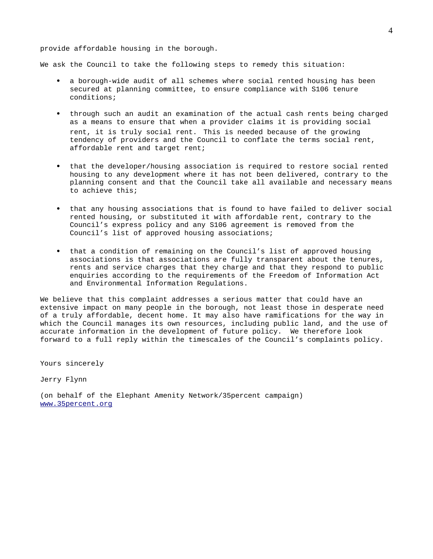## provide affordable housing in the borough.

We ask the Council to take the following steps to remedy this situation:

- a borough-wide audit of all schemes where social rented housing has been secured at planning committee, to ensure compliance with S106 tenure conditions;
- through such an audit an examination of the actual cash rents being charged as a means to ensure that when a provider claims it is providing social rent, it is truly social rent. This is needed because of the growing tendency of providers and the Council to conflate the terms social rent, affordable rent and target rent;
- that the developer/housing association is required to restore social rented housing to any development where it has not been delivered, contrary to the planning consent and that the Council take all available and necessary means to achieve this;
- that any housing associations that is found to have failed to deliver social rented housing, or substituted it with affordable rent, contrary to the Council's express policy and any S106 agreement is removed from the Council's list of approved housing associations;
- that a condition of remaining on the Council's list of approved housing associations is that associations are fully transparent about the tenures, rents and service charges that they charge and that they respond to public enquiries according to the requirements of the Freedom of Information Act and Environmental Information Regulations.

We believe that this complaint addresses a serious matter that could have an extensive impact on many people in the borough, not least those in desperate need of a truly affordable, decent home. It may also have ramifications for the way in which the Council manages its own resources, including public land, and the use of accurate information in the development of future policy. We therefore look forward to a full reply within the timescales of the Council's complaints policy.

Yours sincerely

Jerry Flynn

(on behalf of the Elephant Amenity Network/35percent campaign) [www.35percent.org](http://35percent.org/)